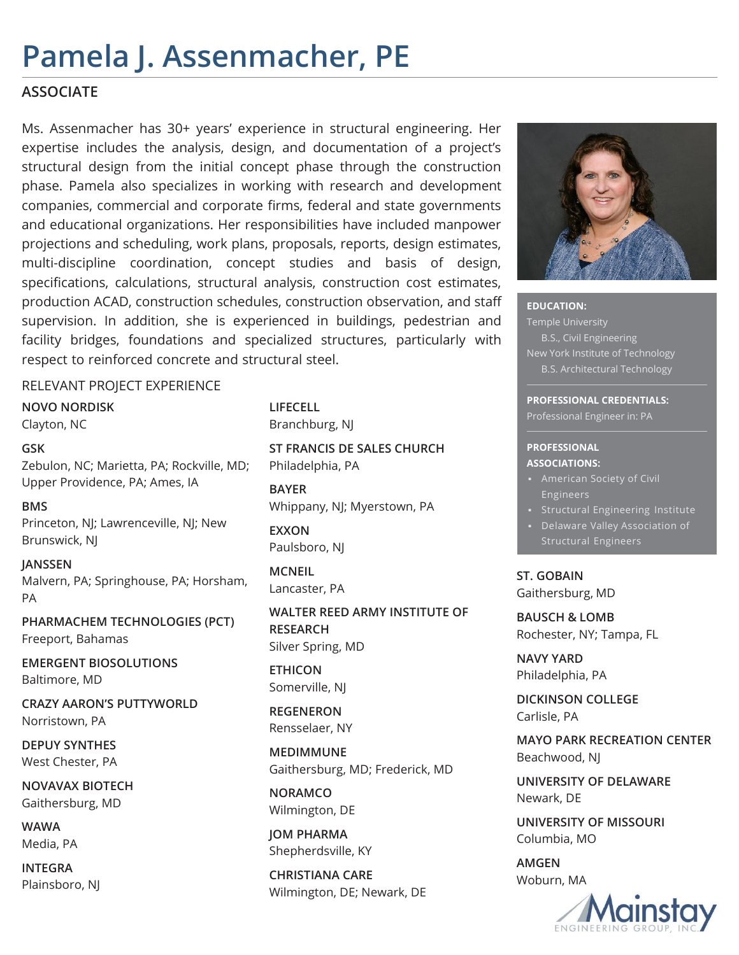# **Pamela J. Assenmacher, PE**

### **ASSOCIATE**

Ms. Assenmacher has 30+ years' experience in structural engineering. Her expertise includes the analysis, design, and documentation of a project's structural design from the initial concept phase through the construction phase. Pamela also specializes in working with research and development companies, commercial and corporate firms, federal and state governments and educational organizations. Her responsibilities have included manpower projections and scheduling, work plans, proposals, reports, design estimates, multi-discipline coordination, concept studies and basis of design, specifications, calculations, structural analysis, construction cost estimates, production ACAD, construction schedules, construction observation, and staff supervision. In addition, she is experienced in buildings, pedestrian and facility bridges, foundations and specialized structures, particularly with respect to reinforced concrete and structural steel.

### RELEVANT PROJECT EXPERIENCE

**NOVO NORDISK** Clayton, NC

**GSK** Zebulon, NC; Marietta, PA; Rockville, MD; Upper Providence, PA; Ames, IA

**BMS** Princeton, NJ; Lawrenceville, NJ; New Brunswick, NJ

**JANSSEN** Malvern, PA; Springhouse, PA; Horsham, PA

**PHARMACHEM TECHNOLOGIES (PCT)** Freeport, Bahamas

**EMERGENT BIOSOLUTIONS** Baltimore, MD

**CRAZY AARON'S PUTTYWORLD** Norristown, PA

**DEPUY SYNTHES** West Chester, PA

**NOVAVAX BIOTECH** Gaithersburg, MD

**WAWA** Media, PA

**INTEGRA** Plainsboro, NJ **LIFECELL** Branchburg, NJ

**ST FRANCIS DE SALES CHURCH** Philadelphia, PA

**BAYER** Whippany, NJ; Myerstown, PA

**EXXON** Paulsboro, NJ

**MCNEIL** Lancaster, PA

**WALTER REED ARMY INSTITUTE OF RESEARCH** Silver Spring, MD

**ETHICON** Somerville, NJ

**REGENERON** Rensselaer, NY

**MEDIMMUNE** Gaithersburg, MD; Frederick, MD

**NORAMCO** Wilmington, DE

**JOM PHARMA** Shepherdsville, KY

**CHRISTIANA CARE** Wilmington, DE; Newark, DE



**EDUCATION:**  Temple University B.S., Civil Engineering New York Institute of Technology B.S. Architectural Technology

**PROFESSIONAL CREDENTIALS:**  Professional Engineer in: PA

#### **PROFESSIONAL ASSOCIATIONS:**

- Engineers
- Structural Engineering Institute
- Delaware Valley Association of Structural Engineers

**ST. GOBAIN** Gaithersburg, MD

**BAUSCH & LOMB** Rochester, NY; Tampa, FL

**NAVY YARD** Philadelphia, PA

**DICKINSON COLLEGE** Carlisle, PA

**MAYO PARK RECREATION CENTER** Beachwood, NJ

**UNIVERSITY OF DELAWARE** Newark, DE

**UNIVERSITY OF MISSOURI** Columbia, MO

**AMGEN** Woburn, MA